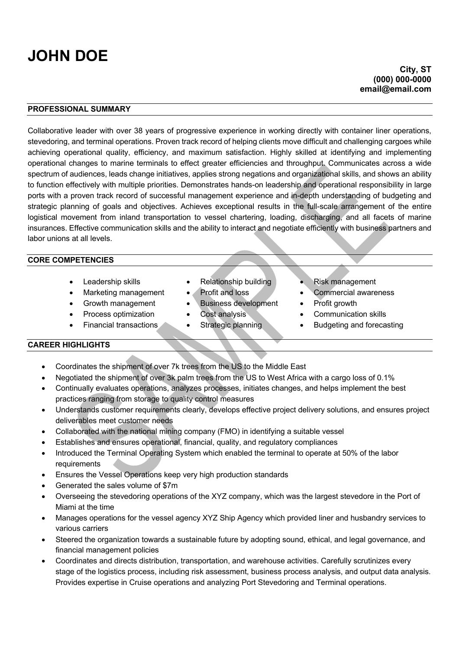# **JOHN DOE**

### **City, ST (000) 000-0000 email@email.com**

## **PROFESSIONAL SUMMARY**

Collaborative leader with over 38 years of progressive experience in working directly with container liner operations, stevedoring, and terminal operations. Proven track record of helping clients move difficult and challenging cargoes while achieving operational quality, efficiency, and maximum satisfaction. Highly skilled at identifying and implementing operational changes to marine terminals to effect greater efficiencies and throughput. Communicates across a wide spectrum of audiences, leads change initiatives, applies strong negations and organizational skills, and shows an ability to function effectively with multiple priorities. Demonstrates hands-on leadership and operational responsibility in large ports with a proven track record of successful management experience and in-depth understanding of budgeting and strategic planning of goals and objectives. Achieves exceptional results in the full-scale arrangement of the entire logistical movement from inland transportation to vessel chartering, loading, discharging, and all facets of marine insurances. Effective communication skills and the ability to interact and negotiate efficiently with business partners and labor unions at all levels.

### **CORE COMPETENCIES**

- 
- 
- 
- 
- 
- 
- 
- Growth management Business development Profit growth
	-
	-
- Leadership skills Relationship building Risk management
- Marketing management Profit and loss Commercial awareness
	-
	- Process optimization Cost analysis Communication skills
- Financial transactions Strategic planning Budgeting and forecasting

#### **CAREER HIGHLIGHTS**

- Coordinates the shipment of over 7k trees from the US to the Middle East
- Negotiated the shipment of over 3k palm trees from the US to West Africa with a cargo loss of 0.1%
- Continually evaluates operations, analyzes processes, initiates changes, and helps implement the best practices ranging from storage to quality control measures
- Understands customer requirements clearly, develops effective project delivery solutions, and ensures project deliverables meet customer needs
- Collaborated with the national mining company (FMO) in identifying a suitable vessel
- Establishes and ensures operational, financial, quality, and regulatory compliances
- Introduced the Terminal Operating System which enabled the terminal to operate at 50% of the labor requirements
- Ensures the Vessel Operations keep very high production standards
- Generated the sales volume of \$7m
- Overseeing the stevedoring operations of the XYZ company, which was the largest stevedore in the Port of Miami at the time
- Manages operations for the vessel agency XYZ Ship Agency which provided liner and husbandry services to various carriers
- Steered the organization towards a sustainable future by adopting sound, ethical, and legal governance, and financial management policies
- Coordinates and directs distribution, transportation, and warehouse activities. Carefully scrutinizes every stage of the logistics process, including risk assessment, business process analysis, and output data analysis. Provides expertise in Cruise operations and analyzing Port Stevedoring and Terminal operations.